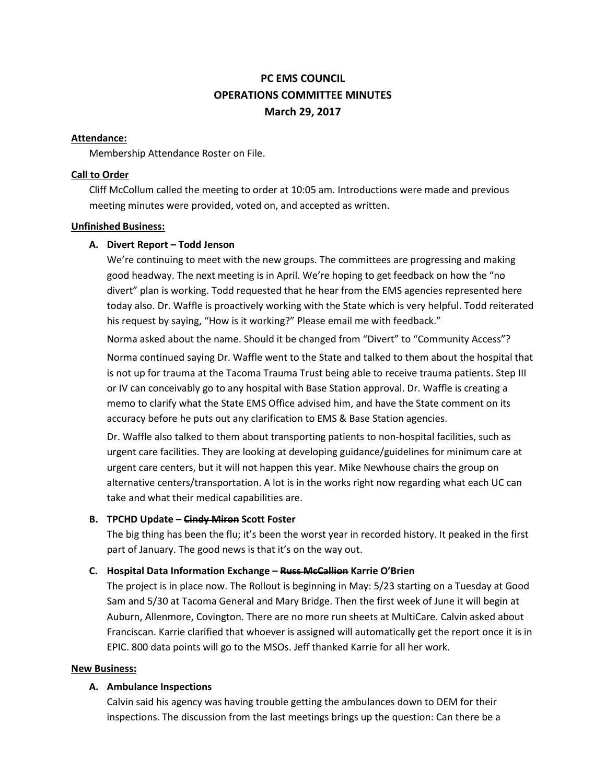# **PC EMS COUNCIL OPERATIONS COMMITTEE MINUTES March 29, 2017**

### **Attendance:**

Membership Attendance Roster on File.

# **Call to Order**

Cliff McCollum called the meeting to order at 10:05 am. Introductions were made and previous meeting minutes were provided, voted on, and accepted as written.

# **Unfinished Business:**

# **A. Divert Report – Todd Jenson**

We're continuing to meet with the new groups. The committees are progressing and making good headway. The next meeting is in April. We're hoping to get feedback on how the "no divert" plan is working. Todd requested that he hear from the EMS agencies represented here today also. Dr. Waffle is proactively working with the State which is very helpful. Todd reiterated his request by saying, "How is it working?" Please email me with feedback."

Norma asked about the name. Should it be changed from "Divert" to "Community Access"?

Norma continued saying Dr. Waffle went to the State and talked to them about the hospital that is not up for trauma at the Tacoma Trauma Trust being able to receive trauma patients. Step III or IV can conceivably go to any hospital with Base Station approval. Dr. Waffle is creating a memo to clarify what the State EMS Office advised him, and have the State comment on its accuracy before he puts out any clarification to EMS & Base Station agencies.

Dr. Waffle also talked to them about transporting patients to non-hospital facilities, such as urgent care facilities. They are looking at developing guidance/guidelines for minimum care at urgent care centers, but it will not happen this year. Mike Newhouse chairs the group on alternative centers/transportation. A lot is in the works right now regarding what each UC can take and what their medical capabilities are.

# **B. TPCHD Update – Cindy Miron Scott Foster**

The big thing has been the flu; it's been the worst year in recorded history. It peaked in the first part of January. The good news is that it's on the way out.

# **C. Hospital Data Information Exchange – Russ McCallion Karrie O'Brien**

The project is in place now. The Rollout is beginning in May: 5/23 starting on a Tuesday at Good Sam and 5/30 at Tacoma General and Mary Bridge. Then the first week of June it will begin at Auburn, Allenmore, Covington. There are no more run sheets at MultiCare. Calvin asked about Franciscan. Karrie clarified that whoever is assigned will automatically get the report once it is in EPIC. 800 data points will go to the MSOs. Jeff thanked Karrie for all her work.

#### **New Business:**

# **A. Ambulance Inspections**

Calvin said his agency was having trouble getting the ambulances down to DEM for their inspections. The discussion from the last meetings brings up the question: Can there be a